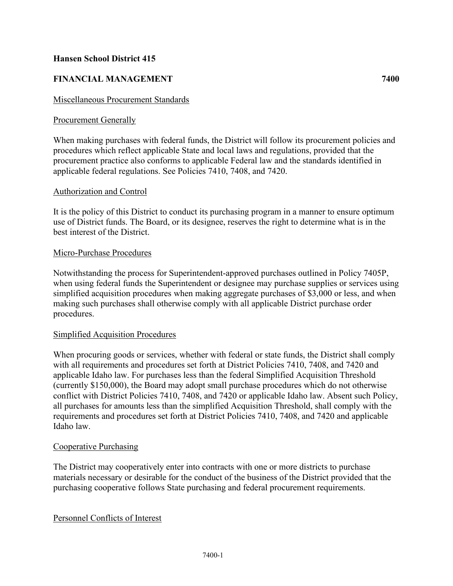# **Hansen School District 415**

# **FINANCIAL MANAGEMENT 7400**

## Miscellaneous Procurement Standards

## Procurement Generally

When making purchases with federal funds, the District will follow its procurement policies and procedures which reflect applicable State and local laws and regulations, provided that the procurement practice also conforms to applicable Federal law and the standards identified in applicable federal regulations. See Policies 7410, 7408, and 7420.

### Authorization and Control

It is the policy of this District to conduct its purchasing program in a manner to ensure optimum use of District funds. The Board, or its designee, reserves the right to determine what is in the best interest of the District.

### Micro-Purchase Procedures

Notwithstanding the process for Superintendent-approved purchases outlined in Policy 7405P, when using federal funds the Superintendent or designee may purchase supplies or services using simplified acquisition procedures when making aggregate purchases of \$3,000 or less, and when making such purchases shall otherwise comply with all applicable District purchase order procedures.

#### Simplified Acquisition Procedures

When procuring goods or services, whether with federal or state funds, the District shall comply with all requirements and procedures set forth at District Policies 7410, 7408, and 7420 and applicable Idaho law. For purchases less than the federal Simplified Acquisition Threshold (currently \$150,000), the Board may adopt small purchase procedures which do not otherwise conflict with District Policies 7410, 7408, and 7420 or applicable Idaho law. Absent such Policy, all purchases for amounts less than the simplified Acquisition Threshold, shall comply with the requirements and procedures set forth at District Policies 7410, 7408, and 7420 and applicable Idaho law.

#### Cooperative Purchasing

The District may cooperatively enter into contracts with one or more districts to purchase materials necessary or desirable for the conduct of the business of the District provided that the purchasing cooperative follows State purchasing and federal procurement requirements.

#### Personnel Conflicts of Interest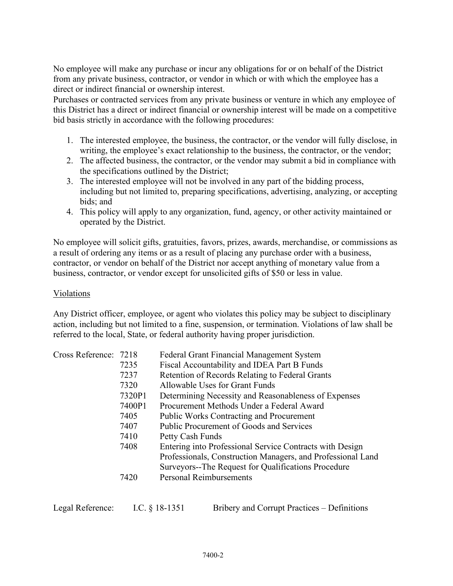No employee will make any purchase or incur any obligations for or on behalf of the District from any private business, contractor, or vendor in which or with which the employee has a direct or indirect financial or ownership interest.

Purchases or contracted services from any private business or venture in which any employee of this District has a direct or indirect financial or ownership interest will be made on a competitive bid basis strictly in accordance with the following procedures:

- 1. The interested employee, the business, the contractor, or the vendor will fully disclose, in writing, the employee's exact relationship to the business, the contractor, or the vendor;
- 2. The affected business, the contractor, or the vendor may submit a bid in compliance with the specifications outlined by the District;
- 3. The interested employee will not be involved in any part of the bidding process, including but not limited to, preparing specifications, advertising, analyzing, or accepting bids; and
- 4. This policy will apply to any organization, fund, agency, or other activity maintained or operated by the District.

No employee will solicit gifts, gratuities, favors, prizes, awards, merchandise, or commissions as a result of ordering any items or as a result of placing any purchase order with a business, contractor, or vendor on behalf of the District nor accept anything of monetary value from a business, contractor, or vendor except for unsolicited gifts of \$50 or less in value.

## Violations

Any District officer, employee, or agent who violates this policy may be subject to disciplinary action, including but not limited to a fine, suspension, or termination. Violations of law shall be referred to the local, State, or federal authority having proper jurisdiction.

| Cross Reference: 7218 |        | Federal Grant Financial Management System                   |
|-----------------------|--------|-------------------------------------------------------------|
|                       | 7235   | Fiscal Accountability and IDEA Part B Funds                 |
|                       | 7237   | Retention of Records Relating to Federal Grants             |
|                       | 7320   | Allowable Uses for Grant Funds                              |
|                       | 7320P1 | Determining Necessity and Reasonableness of Expenses        |
|                       | 7400P1 | Procurement Methods Under a Federal Award                   |
|                       | 7405   | <b>Public Works Contracting and Procurement</b>             |
|                       | 7407   | Public Procurement of Goods and Services                    |
|                       | 7410   | Petty Cash Funds                                            |
|                       | 7408   | Entering into Professional Service Contracts with Design    |
|                       |        | Professionals, Construction Managers, and Professional Land |
|                       |        | Surveyors--The Request for Qualifications Procedure         |
|                       | 7420   | <b>Personal Reimbursements</b>                              |